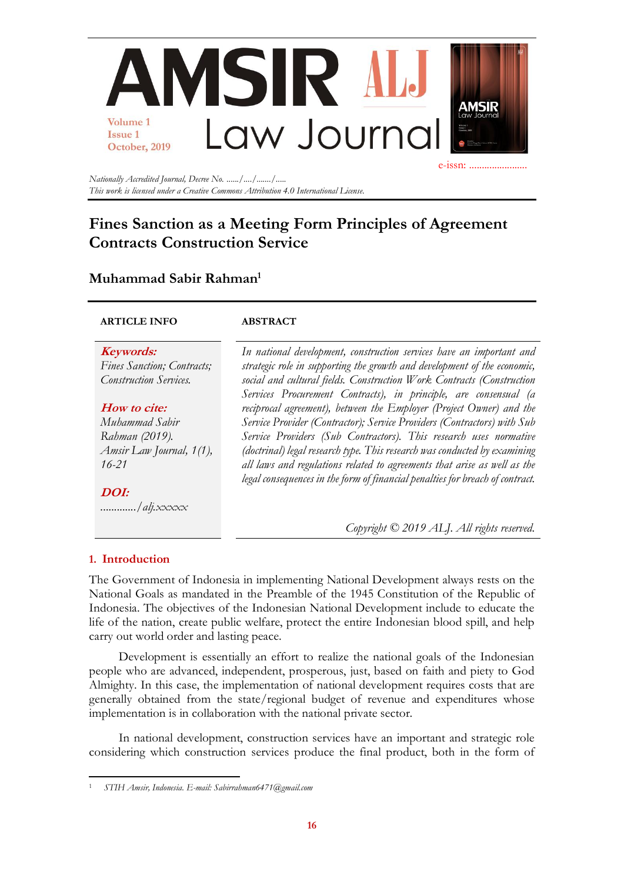

*Nationally Accredited Journal, Decree No. ....../..../......./..... This work is licensed under a Creative Commons Attribution 4.0 International License.*

# **Fines Sanction as a Meeting Form Principles of Agreement Contracts Construction Service**

## **Muhammad Sabir Rahman<sup>1</sup>**

#### **ARTICLE INFO ABSTRACT**

**Keywords:** *Fines Sanction; Contracts; Construction Services.*

#### **How to cite:**

*Muhammad Sabir Rahman (2019). Amsir Law Journal, 1(1), 16-21*

**DOI:** *............./alj.xxxxx* *In national development, construction services have an important and strategic role in supporting the growth and development of the economic, social and cultural fields. Construction Work Contracts (Construction Services Procurement Contracts), in principle, are consensual (a reciprocal agreement), between the Employer (Project Owner) and the Service Provider (Contractor); Service Providers (Contractors) with Sub Service Providers (Sub Contractors). This research uses normative (doctrinal) legal research type. This research was conducted by examining all laws and regulations related to agreements that arise as well as the legal consequences in the form of financial penalties for breach of contract.*

*Copyright © 2019 ALJ. All rights reserved.*

### **1. Introduction**

The Government of Indonesia in implementing National Development always rests on the National Goals as mandated in the Preamble of the 1945 Constitution of the Republic of Indonesia. The objectives of the Indonesian National Development include to educate the life of the nation, create public welfare, protect the entire Indonesian blood spill, and help carry out world order and lasting peace.

Development is essentially an effort to realize the national goals of the Indonesian people who are advanced, independent, prosperous, just, based on faith and piety to God Almighty. In this case, the implementation of national development requires costs that are generally obtained from the state/regional budget of revenue and expenditures whose implementation is in collaboration with the national private sector.

In national development, construction services have an important and strategic role considering which construction services produce the final product, both in the form of

<sup>1</sup> *STIH Amsir, Indonesia. E-mail: [Sabirrahman6471@gmail.com](mailto:Sabirrahman6471@stihamsir.ac.id)*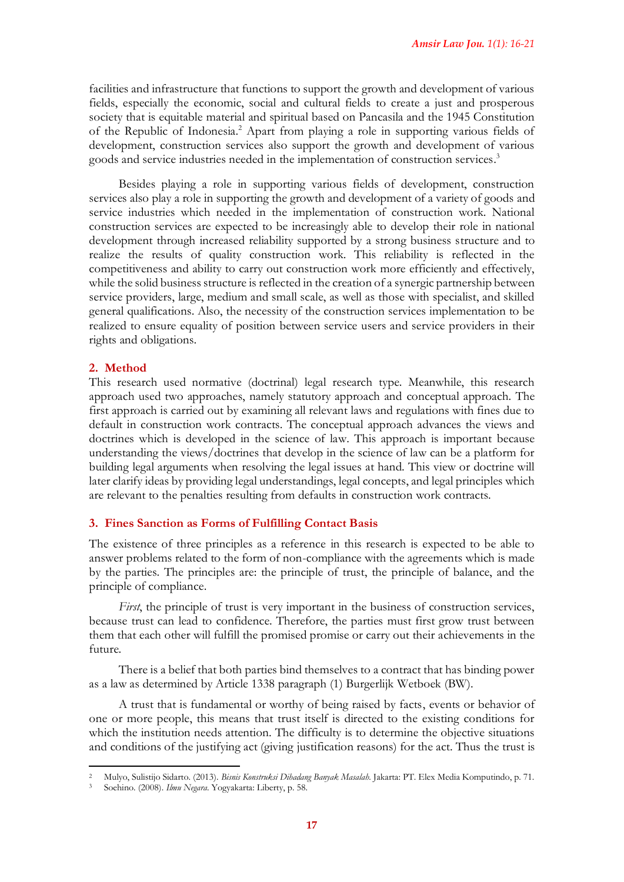facilities and infrastructure that functions to support the growth and development of various fields, especially the economic, social and cultural fields to create a just and prosperous society that is equitable material and spiritual based on Pancasila and the 1945 Constitution of the Republic of Indonesia.<sup>2</sup> Apart from playing a role in supporting various fields of development, construction services also support the growth and development of various goods and service industries needed in the implementation of construction services. 3

Besides playing a role in supporting various fields of development, construction services also play a role in supporting the growth and development of a variety of goods and service industries which needed in the implementation of construction work. National construction services are expected to be increasingly able to develop their role in national development through increased reliability supported by a strong business structure and to realize the results of quality construction work. This reliability is reflected in the competitiveness and ability to carry out construction work more efficiently and effectively, while the solid business structure is reflected in the creation of a synergic partnership between service providers, large, medium and small scale, as well as those with specialist, and skilled general qualifications. Also, the necessity of the construction services implementation to be realized to ensure equality of position between service users and service providers in their rights and obligations.

#### **2. Method**

This research used normative (doctrinal) legal research type. Meanwhile, this research approach used two approaches, namely statutory approach and conceptual approach. The first approach is carried out by examining all relevant laws and regulations with fines due to default in construction work contracts. The conceptual approach advances the views and doctrines which is developed in the science of law. This approach is important because understanding the views/doctrines that develop in the science of law can be a platform for building legal arguments when resolving the legal issues at hand. This view or doctrine will later clarify ideas by providing legal understandings, legal concepts, and legal principles which are relevant to the penalties resulting from defaults in construction work contracts.

#### **3. Fines Sanction as Forms of Fulfilling Contact Basis**

The existence of three principles as a reference in this research is expected to be able to answer problems related to the form of non-compliance with the agreements which is made by the parties. The principles are: the principle of trust, the principle of balance, and the principle of compliance.

*First*, the principle of trust is very important in the business of construction services, because trust can lead to confidence. Therefore, the parties must first grow trust between them that each other will fulfill the promised promise or carry out their achievements in the future.

There is a belief that both parties bind themselves to a contract that has binding power as a law as determined by Article 1338 paragraph (1) Burgerlijk Wetboek (BW).

A trust that is fundamental or worthy of being raised by facts, events or behavior of one or more people, this means that trust itself is directed to the existing conditions for which the institution needs attention. The difficulty is to determine the objective situations and conditions of the justifying act (giving justification reasons) for the act. Thus the trust is

<sup>2</sup> Mulyo, Sulistijo Sidarto. (2013). *Bisnis Konstruksi Dihadang Banyak Masalah.* Jakarta: PT. Elex Media Komputindo, p. 71.

<sup>3</sup> Soehino. (2008). *Ilmu Negara.* Yogyakarta: Liberty, p. 58.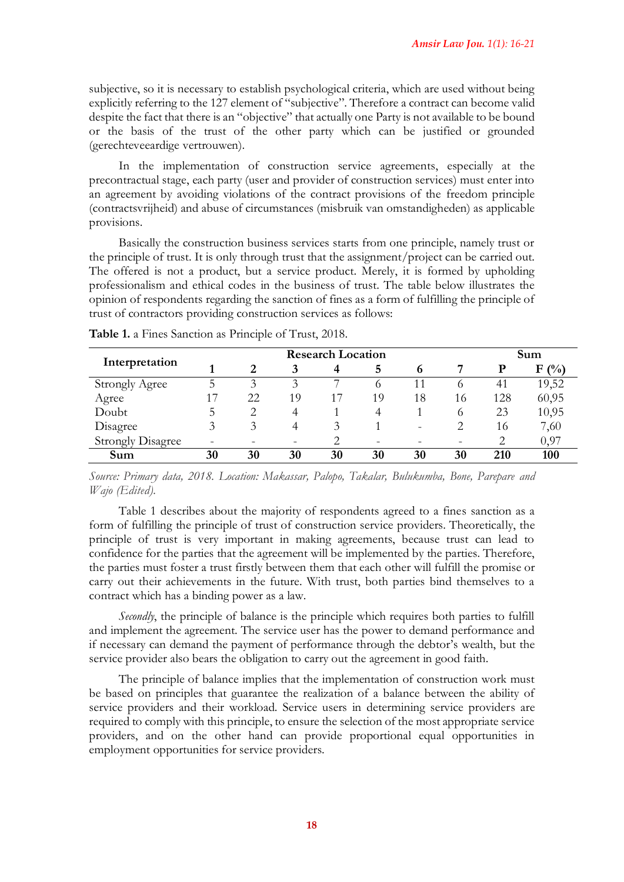subjective, so it is necessary to establish psychological criteria, which are used without being explicitly referring to the 127 element of "subjective". Therefore a contract can become valid despite the fact that there is an "objective" that actually one Party is not available to be bound or the basis of the trust of the other party which can be justified or grounded (gerechteveeardige vertrouwen).

In the implementation of construction service agreements, especially at the precontractual stage, each party (user and provider of construction services) must enter into an agreement by avoiding violations of the contract provisions of the freedom principle (contractsvrijheid) and abuse of circumstances (misbruik van omstandigheden) as applicable provisions.

Basically the construction business services starts from one principle, namely trust or the principle of trust. It is only through trust that the assignment/project can be carried out. The offered is not a product, but a service product. Merely, it is formed by upholding professionalism and ethical codes in the business of trust. The table below illustrates the opinion of respondents regarding the sanction of fines as a form of fulfilling the principle of trust of contractors providing construction services as follows:

| Interpretation           | <b>Research Location</b> |                    |    |    |    |                          |    | Sum |         |
|--------------------------|--------------------------|--------------------|----|----|----|--------------------------|----|-----|---------|
|                          |                          | 2                  |    | 4  | 5  | 6                        |    | D   | $F(\%)$ |
| <b>Strongly Agree</b>    |                          | $\mathbf{\hat{z}}$ | 3  |    | O  |                          |    | 41  | 19,52   |
| Agree                    |                          | 22                 | 19 | 17 | 19 | 18                       | 16 | 128 | 60,95   |
| Doubt                    |                          |                    | 4  |    | 4  |                          |    | 23  | 10,95   |
| Disagree                 |                          |                    | 4  | 3  |    | $\overline{\phantom{0}}$ |    | 16  | 7,60    |
| <b>Strongly Disagree</b> |                          |                    |    |    |    |                          |    | 2   | 0,97    |
| Sum                      | 30                       | 30                 | 30 | 30 | 30 | 30                       | 30 | 210 | 100     |

**Table 1.** a Fines Sanction as Principle of Trust, 2018.

*Source: Primary data, 2018. Location: Makassar, Palopo, Takalar, Bulukumba, Bone, Parepare and Wajo (Edited).*

Table 1 describes about the majority of respondents agreed to a fines sanction as a form of fulfilling the principle of trust of construction service providers. Theoretically, the principle of trust is very important in making agreements, because trust can lead to confidence for the parties that the agreement will be implemented by the parties. Therefore, the parties must foster a trust firstly between them that each other will fulfill the promise or carry out their achievements in the future. With trust, both parties bind themselves to a contract which has a binding power as a law.

*Secondly*, the principle of balance is the principle which requires both parties to fulfill and implement the agreement. The service user has the power to demand performance and if necessary can demand the payment of performance through the debtor's wealth, but the service provider also bears the obligation to carry out the agreement in good faith.

The principle of balance implies that the implementation of construction work must be based on principles that guarantee the realization of a balance between the ability of service providers and their workload. Service users in determining service providers are required to comply with this principle, to ensure the selection of the most appropriate service providers, and on the other hand can provide proportional equal opportunities in employment opportunities for service providers.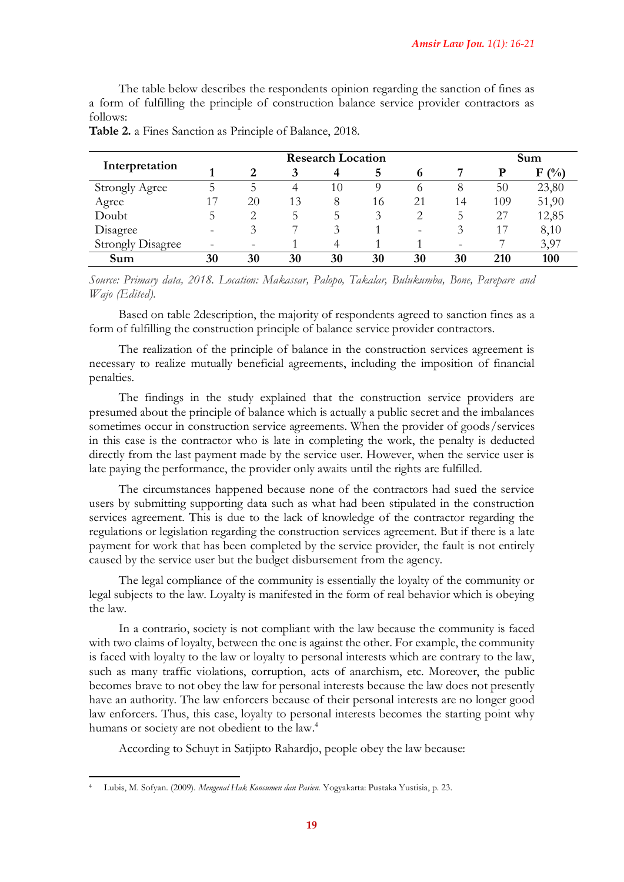The table below describes the respondents opinion regarding the sanction of fines as a form of fulfilling the principle of construction balance service provider contractors as follows:

| Interpretation           | <b>Research Location</b> |    |    |    |    |         |    | Sum |         |
|--------------------------|--------------------------|----|----|----|----|---------|----|-----|---------|
|                          |                          | 2  |    | 4  | 5  | 6       |    | р   | $F($ %) |
| <b>Strongly Agree</b>    | ц.                       | 5. | 4  | 10 | 0  | $\circ$ | 8  | 50  | 23,80   |
| Agree                    |                          | 20 | 13 | 8  | 16 | 21      | 14 | 109 | 51,90   |
| Doubt                    | 5                        |    | 5  | 5  | 3  |         | 5  | 27  | 12,85   |
| Disagree                 |                          |    | ⇁  | 3  |    |         | 3  | 17  | 8,10    |
| <b>Strongly Disagree</b> |                          |    |    | 4  |    |         |    |     | 3,97    |
| Sum                      | 30                       | 30 | 30 | 30 | 30 | 30      | 30 | 210 | 100     |

**Table 2.** a Fines Sanction as Principle of Balance, 2018.

*Source: Primary data, 2018. Location: Makassar, Palopo, Takalar, Bulukumba, Bone, Parepare and Wajo (Edited).*

Based on table 2description, the majority of respondents agreed to sanction fines as a form of fulfilling the construction principle of balance service provider contractors.

The realization of the principle of balance in the construction services agreement is necessary to realize mutually beneficial agreements, including the imposition of financial penalties.

The findings in the study explained that the construction service providers are presumed about the principle of balance which is actually a public secret and the imbalances sometimes occur in construction service agreements. When the provider of goods/services in this case is the contractor who is late in completing the work, the penalty is deducted directly from the last payment made by the service user. However, when the service user is late paying the performance, the provider only awaits until the rights are fulfilled.

The circumstances happened because none of the contractors had sued the service users by submitting supporting data such as what had been stipulated in the construction services agreement. This is due to the lack of knowledge of the contractor regarding the regulations or legislation regarding the construction services agreement. But if there is a late payment for work that has been completed by the service provider, the fault is not entirely caused by the service user but the budget disbursement from the agency.

The legal compliance of the community is essentially the loyalty of the community or legal subjects to the law. Loyalty is manifested in the form of real behavior which is obeying the law.

In a contrario, society is not compliant with the law because the community is faced with two claims of loyalty, between the one is against the other. For example, the community is faced with loyalty to the law or loyalty to personal interests which are contrary to the law, such as many traffic violations, corruption, acts of anarchism, etc. Moreover, the public becomes brave to not obey the law for personal interests because the law does not presently have an authority. The law enforcers because of their personal interests are no longer good law enforcers. Thus, this case, loyalty to personal interests becomes the starting point why humans or society are not obedient to the law.<sup>4</sup>

According to Schuyt in Satjipto Rahardjo, people obey the law because:

<sup>4</sup> Lubis, M. Sofyan. (2009). *Mengenal Hak Konsumen dan Pasien.* Yogyakarta: Pustaka Yustisia, p. 23.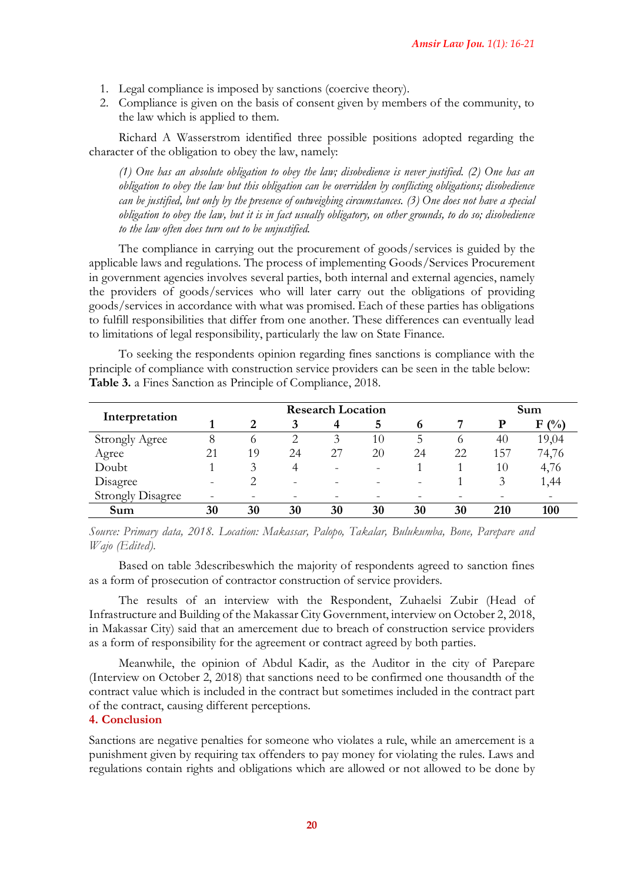- 1. Legal compliance is imposed by sanctions (coercive theory).
- 2. Compliance is given on the basis of consent given by members of the community, to the law which is applied to them.

Richard A Wasserstrom identified three possible positions adopted regarding the character of the obligation to obey the law, namely:

*(1) One has an absolute obligation to obey the law; disobedience is never justified. (2) One has an obligation to obey the law but this obligation can be overridden by conflicting obligations; disobedience can be justified, but only by the presence of outweighing circumstances. (3) One does not have a special obligation to obey the law, but it is in fact usually obligatory, on other grounds, to do so; disobedience to the law often does turn out to be unjustified.*

The compliance in carrying out the procurement of goods/services is guided by the applicable laws and regulations. The process of implementing Goods/Services Procurement in government agencies involves several parties, both internal and external agencies, namely the providers of goods/services who will later carry out the obligations of providing goods/services in accordance with what was promised. Each of these parties has obligations to fulfill responsibilities that differ from one another. These differences can eventually lead to limitations of legal responsibility, particularly the law on State Finance.

To seeking the respondents opinion regarding fines sanctions is compliance with the principle of compliance with construction service providers can be seen in the table below: **Table 3.** a Fines Sanction as Principle of Compliance, 2018.

| Interpretation           | <b>Research Location</b> |         |    |    |    |    |    |     | Sum        |  |
|--------------------------|--------------------------|---------|----|----|----|----|----|-----|------------|--|
|                          |                          | 2       | 3  | 4  | 5  | o  |    | Р   | (0/0)<br>F |  |
| <b>Strongly Agree</b>    |                          | $\circ$ |    | 3  | 10 |    |    | 40  | 19,04      |  |
| Agree                    | 21                       | 19      | 24 | 27 | 20 | 24 | 22 | 157 | 74,76      |  |
| Doubt                    |                          |         | 4  |    |    |    |    | 10  | 4,76       |  |
| Disagree                 |                          |         | -  |    |    |    |    | 3   | 1,44       |  |
| <b>Strongly Disagree</b> |                          |         |    |    |    |    |    |     |            |  |
| Sum                      | 30                       | 30      | 30 | 30 | 30 | 30 | 30 | 210 | 100        |  |

*Source: Primary data, 2018. Location: Makassar, Palopo, Takalar, Bulukumba, Bone, Parepare and Wajo (Edited).*

Based on table 3describeswhich the majority of respondents agreed to sanction fines as a form of prosecution of contractor construction of service providers.

The results of an interview with the Respondent, Zuhaelsi Zubir (Head of Infrastructure and Building of the Makassar City Government, interview on October 2, 2018, in Makassar City) said that an amercement due to breach of construction service providers as a form of responsibility for the agreement or contract agreed by both parties.

Meanwhile, the opinion of Abdul Kadir, as the Auditor in the city of Parepare (Interview on October 2, 2018) that sanctions need to be confirmed one thousandth of the contract value which is included in the contract but sometimes included in the contract part of the contract, causing different perceptions.

#### **4. Conclusion**

Sanctions are negative penalties for someone who violates a rule, while an amercement is a punishment given by requiring tax offenders to pay money for violating the rules. Laws and regulations contain rights and obligations which are allowed or not allowed to be done by